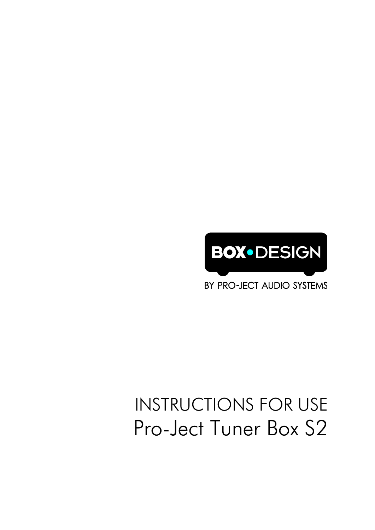

BY PRO-JECT AUDIO SYSTEMS

# **INSTRUCTIONS FOR USE** Pro-Ject Tuner Box S2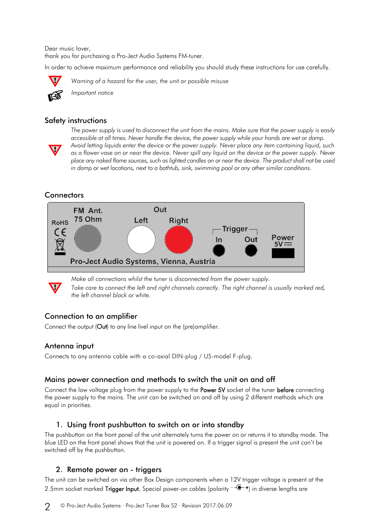Dear music lover,

thank you for purchasing a Pro-Ject Audio Systems FM-tuner.

In order to achieve maximum performance and reliability you should study these instructions for use carefully.



*Warning of a hazard for the user, the unit or possible misuse*



*Important notice*

#### Safety instructions



*The power supply is used to disconnect the unit from the mains. Make sure that the power supply is easily accessible at all times. Never handle the device, the power supply while your hands are wet or damp. Avoid letting liquids enter the device or the power supply. Never place any item containing liquid, such as a flower vase on or near the device. Never spill any liquid on the device or the power supply. Never place any naked flame sources, such as lighted candles on or near the device. The product shall not be used in damp or wet locations, next to a bathtub, sink, swimming pool or any other similar conditions.*

# **Connectors**



*Make all connections whilst the tuner is disconnected from the power supply.* Take care to connect the left and right channels correctly. The right channel is usually marked red, *the left channel black or white.*

## Connection to an amplifier

Connect the output (Out) to any line livel input on the (pre)amplifier.

## Antenna input

Connects to any antenna cable with a co-axial DIN-plug / US-model F-plug.

## Mains power connection and methods to switch the unit on and off

Connect the low voltage plug from the power supply to the **Power 5V** socket of the tuner **before** connecting the power supply to the mains. The unit can be switched on and off by using 2 different methods which are equal in priorities.

# 1. Using front pushbutton to switch on or into standby

The pushbutton on the front panel of the unit alternately turns the power on or returns it to standby mode. The blue LED on the front panel shows that the unit is powered on. If a trigger signal is present the unit can't be switched off by the pushbutton.

## 2. Remote power on - triggers

The unit can be switched on via other Box Design components when a 12V trigger voltage is present at the 2.5mm socket marked Trigger Input. Special power-on cables (polarity  $\neg$  $\bullet$ +) in diverse lengths are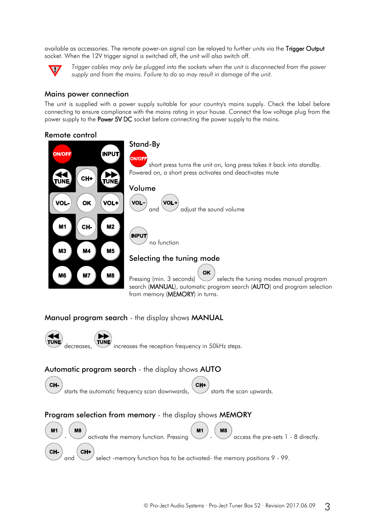available as accessories. The remote power-on signal can be relayed to further units via the Trigger Output socket. When the 12V trigger signal is switched off, the unit will also switch off.



*Trigger cables may only be plugged into the sockets when the unit is disconnected from the power supply and from the mains. Failure to do so may result in damage of the unit.*

#### Mains power connection

The unit is supplied with a power supply suitable for your country's mains supply. Check the label before connecting to ensure compliance with the mains rating in your house. Connect the low voltage plug from the power supply to the Power 5V DC socket before connecting the power supply to the mains.

#### Remote control



#### Manual program search - the display shows MANUAL



decreases, increases the reception frequency in 50kHz steps.

#### Automatic program search - the display shows AUTO



starts the automatic frequency scan downwards,  $\searrow$  starts the scan upwards.

## Program selection from memory - the display shows MEMORY



 $\alpha$  activate the memory function. Pressing  $\sim$  -  $\sim$  access the pre-sets 1 - 8 directly.

and  $\vee$  select -memory function has to be activated- the memory positions 9 - 99.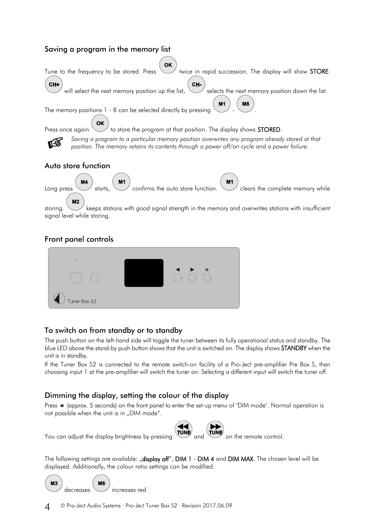# Saving a program in the memory list



storing. Keeps stations with good signal strength in the memory and overwrites stations with insufficient signal level while storing.

## Front panel controls



## To switch on from standby or to standby

The push button on the left-hand side will toggle the tuner between its fully operational status and standby. The blue LED above the stand-by push button shows that the unit is switched on. The display shows STANDBY when the unit is in standby.

If the Tuner Box S2 is connected to the remote switch-on facility of a Pro-Ject pre-amplifier Pre Box S, then choosing input 1 at the pre-amplifier will switch the tuner on. Selecting a different input will switch the tuner off.

## Dimming the display, setting the colour of the display

Press \* (approx. 5 seconds) on the front panel to enter the set-up menu of "DIM mode". Normal operation is not possible when the unit is in "DIM mode".



You can adjust the display brightness by pressing  $\overline{a}$  and  $\overline{a}$  on the remote control.

The following settings are available: "display off", DIM 1 - DIM 4 and DIM MAX. The chosen level will be displayed. Additionally, the colour ratio settings can be modified:

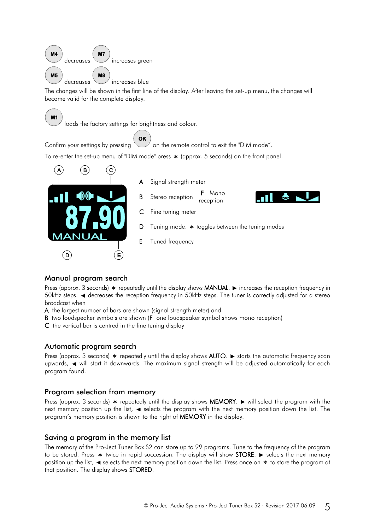

The changes will be shown in the first line of the display. After leaving the set-up menu, the changes will become valid for the complete display.



#### Manual program search

Press (approx. 3 seconds)  $*$  repeatedly until the display shows **MANUAL**.  $\blacktriangleright$  increases the reception frequency in 50kHz steps.  $\blacktriangleleft$  decreases the reception frequency in 50kHz steps. The tuner is correctly adjusted for a stereo broadcast when

A the largest number of bars are shown (signal strength meter) and

B two loudspeaker symbols are shown (F one loudspeaker symbol shows mono reception)

C the vertical bar is centred in the fine tuning display

#### Automatic program search

Press (approx. 3 seconds)  $*$  repeatedly until the display shows AUTO.  $*$  starts the automatic frequency scan upwards,  $\blacktriangleleft$  will start it downwards. The maximum signal strength will be adjusted automatically for each program found.

#### Program selection from memory

Press (approx. 3 seconds)  $*$  repeatedly until the display shows MEMORY.  $\blacktriangleright$  will select the program with the next memory position up the list,  $\blacktriangleleft$  selects the program with the next memory position down the list. The program's memory position is shown to the right of MEMORY in the display.

#### Saving a program in the memory list

The memory of the Pro-Ject Tuner Box S2 can store up to 99 programs. Tune to the frequency of the program to be stored. Press  $*$  twice in rapid succession. The display will show STORE.  $*$  selects the next memory position up the list,  $\blacktriangleleft$  selects the next memory position down the list. Press once on  $\blacktriangleleft$  to store the program at that position. The display shows STORED.